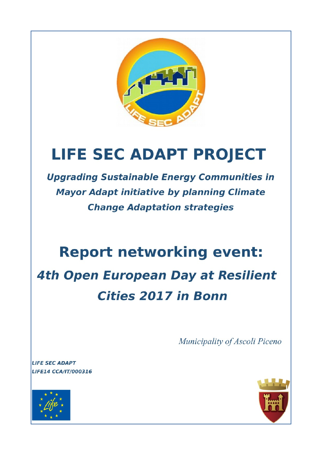

# **LIFE SEC ADAPT PROJECT**

**Upgrading Sustainable Energy Communities in Mayor Adapt initiative by planning Climate Change Adaptation strategies** 

## **Report networking event:**

**4th Open European Day at Resilient Cities 2017 in Bonn** 

Municipality of Ascoli Piceno

**LIFE SEC ADAPT** LIFE14 CCA/IT/000316



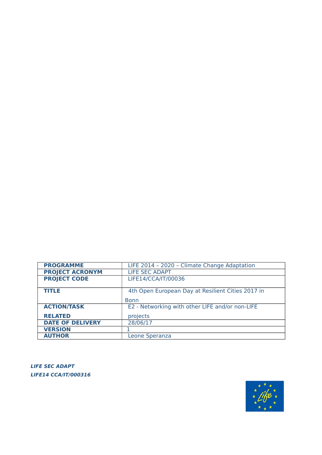

**LIFE SEC ADAPT LIFE14 CCA/IT/000316** 

| <b>PROGRAMME</b>        | LIFE 2014 - 2020 - Climate Change Adaptation      |
|-------------------------|---------------------------------------------------|
| <b>PROJECT ACRONYM</b>  | <b>LIFE SEC ADAPT</b>                             |
| <b>PROJECT CODE</b>     | LIFE14/CCA/IT/00036                               |
|                         |                                                   |
| <b>TITLE</b>            | 4th Open European Day at Resilient Cities 2017 in |
|                         | <b>Bonn</b>                                       |
| <b>ACTION/TASK</b>      | E2 - Networking with other LIFE and/or non-LIFE   |
| <b>RELATED</b>          | projects                                          |
| <b>DATE OF DELIVERY</b> | 28/06/17                                          |
| <b>VERSION</b>          |                                                   |
| <b>AUTHOR</b>           | Leone Speranza                                    |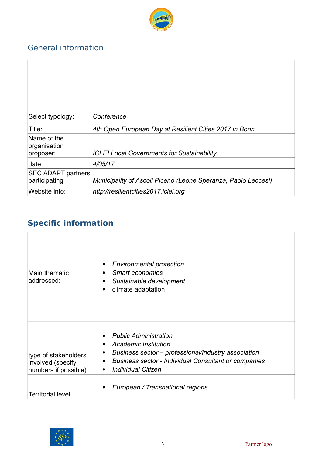

## General information

| Select typology:                           | Conference                                                    |
|--------------------------------------------|---------------------------------------------------------------|
| Title:                                     | 4th Open European Day at Resilient Cities 2017 in Bonn        |
| Name of the<br>organisation<br>proposer:   | <b>ICLEI Local Governments for Sustainability</b>             |
| date:                                      | 4/05/17                                                       |
| <b>SEC ADAPT partners</b><br>participating | Municipality of Ascoli Piceno (Leone Speranza, Paolo Leccesi) |
| Website info:                              | http://resilientcities2017.iclei.org                          |

## **Specific information**

| Main thematic<br>addressed:                                       | <b>Environmental protection</b><br>٠<br>Smart economies<br>$\bullet$<br>Sustainable development<br>$\bullet$<br>climate adaptation<br>$\bullet$                                                                                                                                 |
|-------------------------------------------------------------------|---------------------------------------------------------------------------------------------------------------------------------------------------------------------------------------------------------------------------------------------------------------------------------|
| type of stakeholders<br>involved (specify<br>numbers if possible) | <b>Public Administration</b><br>$\bullet$<br><b>Academic Institution</b><br>$\bullet$<br>Business sector – professional/industry association<br>$\bullet$<br><b>Business sector - Individual Consultant or companies</b><br>$\bullet$<br><b>Individual Citizen</b><br>$\bullet$ |
| <b>Territorial level</b>                                          | European / Transnational regions                                                                                                                                                                                                                                                |

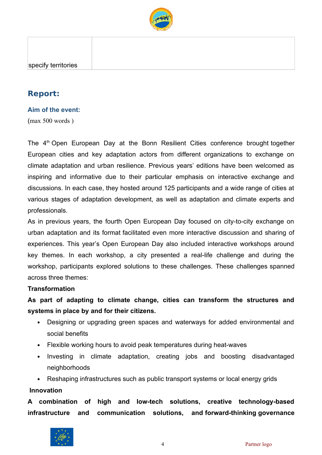

## **Report:**

#### **Aim of the event:**

(max 500 words )

The 4<sup>th</sup> Open European Day at the Bonn Resilient Cities conference brought together European cities and key adaptation actors from different organizations to exchange on climate adaptation and urban resilience. Previous years' editions have been welcomed as inspiring and informative due to their particular emphasis on interactive exchange and discussions. In each case, they hosted around 125 participants and a wide range of cities at various stages of adaptation development, as well as adaptation and climate experts and professionals.

As in previous years, the fourth Open European Day focused on city-to-city exchange on urban adaptation and its format facilitated even more interactive discussion and sharing of experiences. This year's Open European Day also included interactive workshops around key themes. In each workshop, a city presented a real-life challenge and during the workshop, participants explored solutions to these challenges. These challenges spanned across three themes:

#### **Transformation**

**As part of adapting to climate change, cities can transform the structures and systems in place by and for their citizens.**

- Designing or upgrading green spaces and waterways for added environmental and social benefits
- Flexible working hours to avoid peak temperatures during heat-waves
- Investing in climate adaptation, creating jobs and boosting disadvantaged neighborhoods
- Reshaping infrastructures such as public transport systems or local energy grids **Innovation**

**A combination of high and low-tech solutions, creative technology-based infrastructure and communication solutions, and forward-thinking governance**

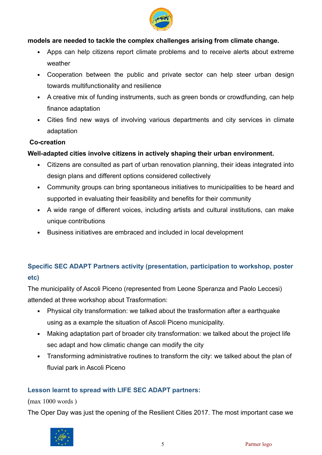

#### **models are needed to tackle the complex challenges arising from climate change.**

- Apps can help citizens report climate problems and to receive alerts about extreme weather
- Cooperation between the public and private sector can help steer urban design towards multifunctionality and resilience
- A creative mix of funding instruments, such as green bonds or crowdfunding, can help finance adaptation
- Cities find new ways of involving various departments and city services in climate adaptation

#### **Co-creation**

#### **Well-adapted cities involve citizens in actively shaping their urban environment.**

- Citizens are consulted as part of urban renovation planning, their ideas integrated into design plans and different options considered collectively
- Community groups can bring spontaneous initiatives to municipalities to be heard and supported in evaluating their feasibility and benefits for their community
- A wide range of different voices, including artists and cultural institutions, can make unique contributions
- Business initiatives are embraced and included in local development

## **Specific SEC ADAPT Partners activity (presentation, participation to workshop, poster etc)**

The municipality of Ascoli Piceno (represented from Leone Speranza and Paolo Leccesi) attended at three workshop about Trasformation:

- Physical city transformation: we talked about the trasformation after a earthquake using as a example the situation of Ascoli Piceno municipality.
- Making adaptation part of broader city transformation: we talked about the project life sec adapt and how climatic change can modify the city
- Transforming administrative routines to transform the city: we talked about the plan of fluvial park in Ascoli Piceno

#### **Lesson learnt to spread with LIFE SEC ADAPT partners:**

#### (max 1000 words )

The Oper Day was just the opening of the Resilient Cities 2017. The most important case we

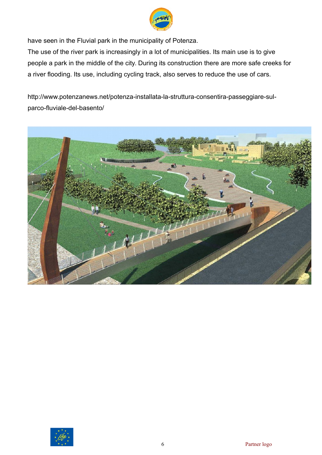

have seen in the Fluvial park in the municipality of Potenza.

The use of the river park is increasingly in a lot of municipalities. Its main use is to give people a park in the middle of the city. During its construction there are more safe creeks for a river flooding. Its use, including cycling track, also serves to reduce the use of cars.

[http://www.potenzanews.net/potenza-installata-la-struttura-consentira-passeggiare-sul](http://www.potenzanews.net/potenza-installata-la-struttura-consentira-passeggiare-sul-parco-fluviale-del-basento/)[parco-fluviale-del-basento/](http://www.potenzanews.net/potenza-installata-la-struttura-consentira-passeggiare-sul-parco-fluviale-del-basento/)